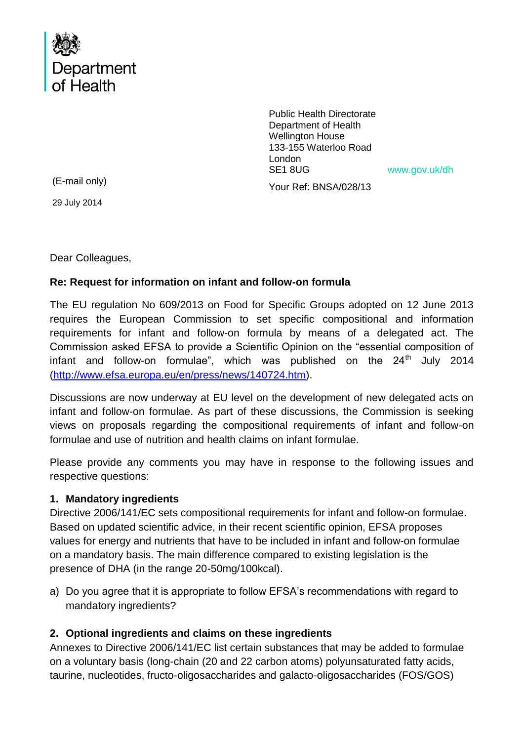

Public Health Directorate Department of Health Wellington House 133-155 Waterloo Road London SE1 8UG www.gov.uk/dh

Your Ref: BNSA/028/13

(E-mail only)

29 July 2014

Dear Colleagues,

### **Re: Request for information on infant and follow-on formula**

The EU regulation No 609/2013 on Food for Specific Groups adopted on 12 June 2013 requires the European Commission to set specific compositional and information requirements for infant and follow-on formula by means of a delegated act. The Commission asked EFSA to provide a Scientific Opinion on the "essential composition of infant and follow-on formulae", which was published on the  $24<sup>th</sup>$  July 2014 [\(http://www.efsa.europa.eu/en/press/news/140724.htm\)](http://www.efsa.europa.eu/en/press/news/140724.htm).

Discussions are now underway at EU level on the development of new delegated acts on infant and follow-on formulae. As part of these discussions, the Commission is seeking views on proposals regarding the compositional requirements of infant and follow-on formulae and use of nutrition and health claims on infant formulae.

Please provide any comments you may have in response to the following issues and respective questions:

### **1. Mandatory ingredients**

Directive 2006/141/EC sets compositional requirements for infant and follow-on formulae. Based on updated scientific advice, in their recent scientific opinion, EFSA proposes values for energy and nutrients that have to be included in infant and follow-on formulae on a mandatory basis. The main difference compared to existing legislation is the presence of DHA (in the range 20-50mg/100kcal).

a) Do you agree that it is appropriate to follow EFSA's recommendations with regard to mandatory ingredients?

### **2. Optional ingredients and claims on these ingredients**

Annexes to Directive 2006/141/EC list certain substances that may be added to formulae on a voluntary basis (long-chain (20 and 22 carbon atoms) polyunsaturated fatty acids, taurine, nucleotides, fructo-oligosaccharides and galacto-oligosaccharides (FOS/GOS)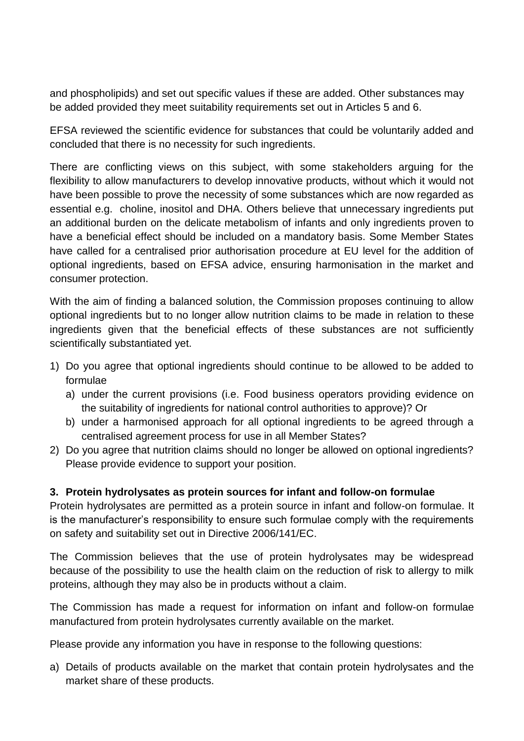and phospholipids) and set out specific values if these are added. Other substances may be added provided they meet suitability requirements set out in Articles 5 and 6.

EFSA reviewed the scientific evidence for substances that could be voluntarily added and concluded that there is no necessity for such ingredients.

There are conflicting views on this subject, with some stakeholders arguing for the flexibility to allow manufacturers to develop innovative products, without which it would not have been possible to prove the necessity of some substances which are now regarded as essential e.g. choline, inositol and DHA. Others believe that unnecessary ingredients put an additional burden on the delicate metabolism of infants and only ingredients proven to have a beneficial effect should be included on a mandatory basis. Some Member States have called for a centralised prior authorisation procedure at EU level for the addition of optional ingredients, based on EFSA advice, ensuring harmonisation in the market and consumer protection.

With the aim of finding a balanced solution, the Commission proposes continuing to allow optional ingredients but to no longer allow nutrition claims to be made in relation to these ingredients given that the beneficial effects of these substances are not sufficiently scientifically substantiated yet.

- 1) Do you agree that optional ingredients should continue to be allowed to be added to formulae
	- a) under the current provisions (i.e. Food business operators providing evidence on the suitability of ingredients for national control authorities to approve)? Or
	- b) under a harmonised approach for all optional ingredients to be agreed through a centralised agreement process for use in all Member States?
- 2) Do you agree that nutrition claims should no longer be allowed on optional ingredients? Please provide evidence to support your position.

### **3. Protein hydrolysates as protein sources for infant and follow-on formulae**

Protein hydrolysates are permitted as a protein source in infant and follow-on formulae. It is the manufacturer's responsibility to ensure such formulae comply with the requirements on safety and suitability set out in Directive 2006/141/EC.

The Commission believes that the use of protein hydrolysates may be widespread because of the possibility to use the health claim on the reduction of risk to allergy to milk proteins, although they may also be in products without a claim.

The Commission has made a request for information on infant and follow-on formulae manufactured from protein hydrolysates currently available on the market.

Please provide any information you have in response to the following questions:

a) Details of products available on the market that contain protein hydrolysates and the market share of these products.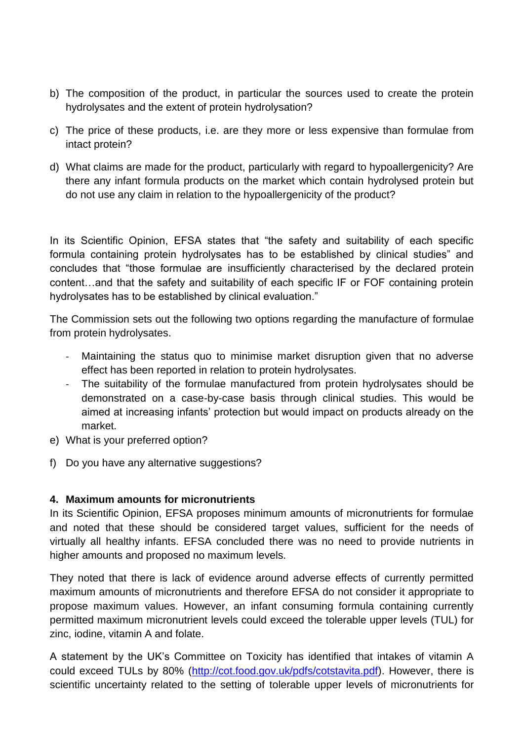- b) The composition of the product, in particular the sources used to create the protein hydrolysates and the extent of protein hydrolysation?
- c) The price of these products, i.e. are they more or less expensive than formulae from intact protein?
- d) What claims are made for the product, particularly with regard to hypoallergenicity? Are there any infant formula products on the market which contain hydrolysed protein but do not use any claim in relation to the hypoallergenicity of the product?

In its Scientific Opinion, EFSA states that "the safety and suitability of each specific formula containing protein hydrolysates has to be established by clinical studies" and concludes that "those formulae are insufficiently characterised by the declared protein content…and that the safety and suitability of each specific IF or FOF containing protein hydrolysates has to be established by clinical evaluation."

The Commission sets out the following two options regarding the manufacture of formulae from protein hydrolysates.

- Maintaining the status quo to minimise market disruption given that no adverse effect has been reported in relation to protein hydrolysates.
- The suitability of the formulae manufactured from protein hydrolysates should be demonstrated on a case-by-case basis through clinical studies. This would be aimed at increasing infants' protection but would impact on products already on the market.
- e) What is your preferred option?
- f) Do you have any alternative suggestions?

### **4. Maximum amounts for micronutrients**

In its Scientific Opinion, EFSA proposes minimum amounts of micronutrients for formulae and noted that these should be considered target values, sufficient for the needs of virtually all healthy infants. EFSA concluded there was no need to provide nutrients in higher amounts and proposed no maximum levels.

They noted that there is lack of evidence around adverse effects of currently permitted maximum amounts of micronutrients and therefore EFSA do not consider it appropriate to propose maximum values. However, an infant consuming formula containing currently permitted maximum micronutrient levels could exceed the tolerable upper levels (TUL) for zinc, iodine, vitamin A and folate.

A statement by the UK's Committee on Toxicity has identified that intakes of vitamin A could exceed TULs by 80% [\(http://cot.food.gov.uk/pdfs/cotstavita.pdf\)](http://cot.food.gov.uk/pdfs/cotstavita.pdf). However, there is scientific uncertainty related to the setting of tolerable upper levels of micronutrients for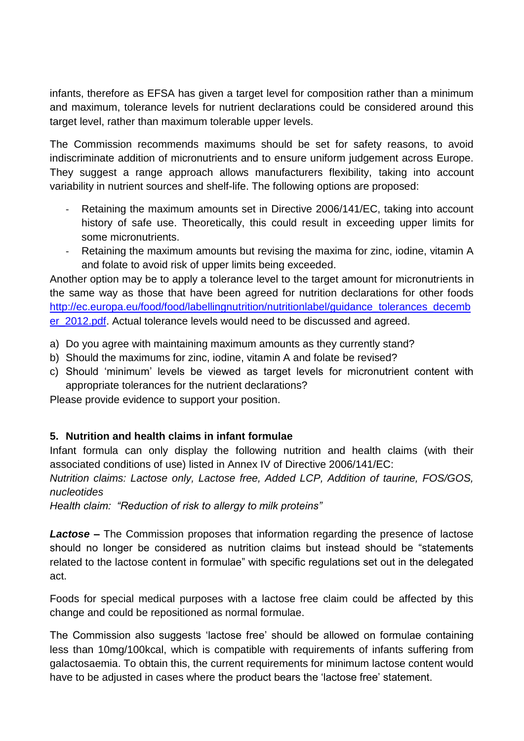infants, therefore as EFSA has given a target level for composition rather than a minimum and maximum, tolerance levels for nutrient declarations could be considered around this target level, rather than maximum tolerable upper levels.

The Commission recommends maximums should be set for safety reasons, to avoid indiscriminate addition of micronutrients and to ensure uniform judgement across Europe. They suggest a range approach allows manufacturers flexibility, taking into account variability in nutrient sources and shelf-life. The following options are proposed:

- Retaining the maximum amounts set in Directive 2006/141/EC, taking into account history of safe use. Theoretically, this could result in exceeding upper limits for some micronutrients.
- Retaining the maximum amounts but revising the maxima for zinc, iodine, vitamin A and folate to avoid risk of upper limits being exceeded.

Another option may be to apply a tolerance level to the target amount for micronutrients in the same way as those that have been agreed for nutrition declarations for other foods [http://ec.europa.eu/food/food/labellingnutrition/nutritionlabel/guidance\\_tolerances\\_decemb](http://ec.europa.eu/food/food/labellingnutrition/nutritionlabel/guidance_tolerances_december_2012.pdf) [er\\_2012.pdf.](http://ec.europa.eu/food/food/labellingnutrition/nutritionlabel/guidance_tolerances_december_2012.pdf) Actual tolerance levels would need to be discussed and agreed.

- a) Do you agree with maintaining maximum amounts as they currently stand?
- b) Should the maximums for zinc, iodine, vitamin A and folate be revised?
- c) Should 'minimum' levels be viewed as target levels for micronutrient content with appropriate tolerances for the nutrient declarations?

Please provide evidence to support your position.

# **5. Nutrition and health claims in infant formulae**

Infant formula can only display the following nutrition and health claims (with their associated conditions of use) listed in Annex IV of Directive 2006/141/EC:

*Nutrition claims: Lactose only, Lactose free, Added LCP, Addition of taurine, FOS/GOS, nucleotides*

*Health claim: "Reduction of risk to allergy to milk proteins"*

*Lactose –* The Commission proposes that information regarding the presence of lactose should no longer be considered as nutrition claims but instead should be "statements related to the lactose content in formulae" with specific regulations set out in the delegated act.

Foods for special medical purposes with a lactose free claim could be affected by this change and could be repositioned as normal formulae.

The Commission also suggests 'lactose free' should be allowed on formulae containing less than 10mg/100kcal, which is compatible with requirements of infants suffering from galactosaemia. To obtain this, the current requirements for minimum lactose content would have to be adjusted in cases where the product bears the 'lactose free' statement.